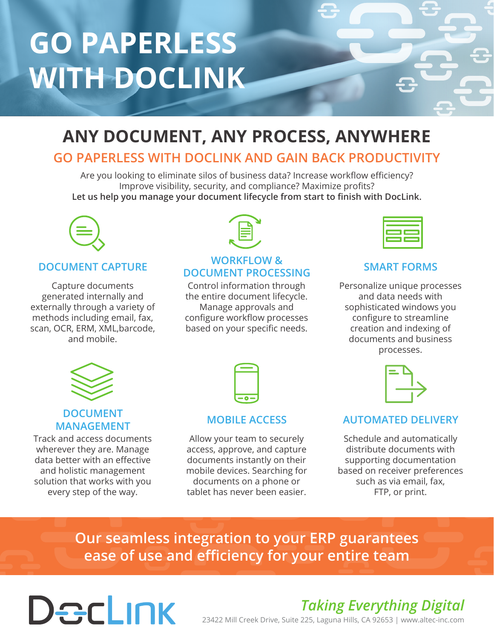# **GO PAPERLESS WITH DOCLINK**

# **ANY DOCUMENT, ANY PROCESS, ANYWHERE**

### **GO PAPERLESS WITH DOCLINK AND GAIN BACK PRODUCTIVITY**

Are you looking to eliminate silos of business data? Increase workflow efficiency? Improve visibility, security, and compliance? Maximize profits? **Let us help you manage your document lifecycle from start to finish with DocLink.**



### **DOCUMENT CAPTURE**

Capture documents generated internally and externally through a variety of methods including email, fax, scan, OCR, ERM, XML,barcode, and mobile.



#### **WORKFLOW & DOCUMENT PROCESSING**

Control information through the entire document lifecycle. Manage approvals and configure workflow processes based on your specific needs.

### **SMART FORMS**

Personalize unique processes and data needs with sophisticated windows you configure to streamline creation and indexing of documents and business processes.



### **DOCUMENT MANAGEMENT**

Track and access documents wherever they are. Manage data better with an effective and holistic management solution that works with you every step of the way.

#### **MOBILE ACCESS**

Allow your team to securely access, approve, and capture documents instantly on their mobile devices. Searching for documents on a phone or tablet has never been easier.



### **AUTOMATED DELIVERY**

Schedule and automatically distribute documents with supporting documentation based on receiver preferences such as via email, fax, FTP, or print.

**Our seamless integration to your ERP guarantees ease of use and efficiency for your entire team**

# Declink

## *Taking Everything Digital*

23422 Mill Creek Drive, Suite 225, Laguna Hills, CA 92653 | www.altec-inc.com